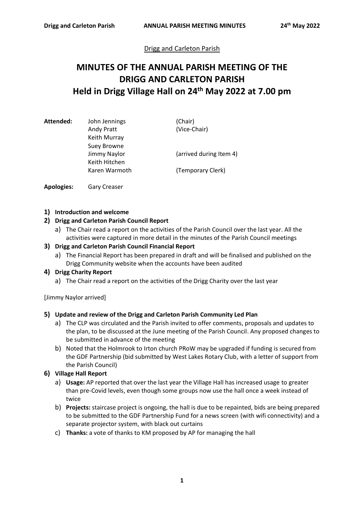# Drigg and Carleton Parish

# **MINUTES OF THE ANNUAL PARISH MEETING OF THE DRIGG AND CARLETON PARISH Held in Drigg Village Hall on 24th May 2022 at 7.00 pm**

| Attended: | John Jennings | (Chair)                 |
|-----------|---------------|-------------------------|
|           | Andy Pratt    | (Vice-Chair)            |
|           | Keith Murray  |                         |
|           | Suey Browne   |                         |
|           | Jimmy Naylor  | (arrived during Item 4) |
|           | Keith Hitchen |                         |
|           | Karen Warmoth | (Temporary Clerk)       |
|           |               |                         |

**Apologies:** Gary Creaser

## **1) Introduction and welcome**

## **2) Drigg and Carleton Parish Council Report**

a) The Chair read a report on the activities of the Parish Council over the last year. All the activities were captured in more detail in the minutes of the Parish Council meetings

## **3) Drigg and Carleton Parish Council Financial Report**

a) The Financial Report has been prepared in draft and will be finalised and published on the Drigg Community website when the accounts have been audited

#### **4) Drigg Charity Report**

a) The Chair read a report on the activities of the Drigg Charity over the last year

[Jimmy Naylor arrived]

## **5) Update and review of the Drigg and Carleton Parish Community Led Plan**

- a) The CLP was circulated and the Parish invited to offer comments, proposals and updates to the plan, to be discussed at the June meeting of the Parish Council. Any proposed changes to be submitted in advance of the meeting
- b) Noted that the Holmrook to Irton church PRoW may be upgraded if funding is secured from the GDF Partnership (bid submitted by West Lakes Rotary Club, with a letter of support from the Parish Council)

#### **6) Village Hall Report**

- a) **Usage:** AP reported that over the last year the Village Hall has increased usage to greater than pre-Covid levels, even though some groups now use the hall once a week instead of twice
- b) **Projects:** staircase project is ongoing, the hall is due to be repainted, bids are being prepared to be submitted to the GDF Partnership Fund for a news screen (with wifi connectivity) and a separate projector system, with black out curtains
- c) **Thanks:** a vote of thanks to KM proposed by AP for managing the hall